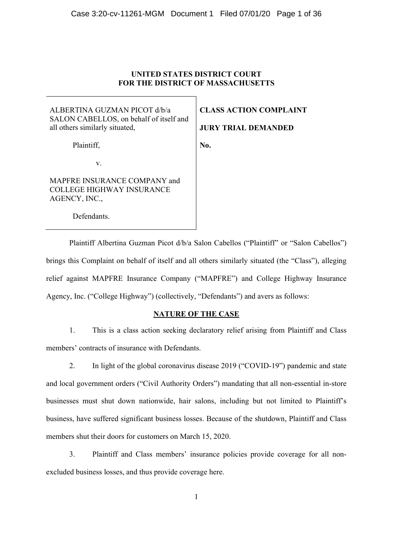#### **UNITED STATES DISTRICT COURT FOR THE DISTRICT OF MASSACHUSETTS**

ALBERTINA GUZMAN PICOT d/b/a SALON CABELLOS, on behalf of itself and all others similarly situated,

Plaintiff,

**CLASS ACTION COMPLAINT** 

**JURY TRIAL DEMANDED** 

**No.** 

v.

MAPFRE INSURANCE COMPANY and COLLEGE HIGHWAY INSURANCE AGENCY, INC.,

Defendants.

Plaintiff Albertina Guzman Picot d/b/a Salon Cabellos ("Plaintiff" or "Salon Cabellos") brings this Complaint on behalf of itself and all others similarly situated (the "Class"), alleging relief against MAPFRE Insurance Company ("MAPFRE") and College Highway Insurance Agency, Inc. ("College Highway") (collectively, "Defendants") and avers as follows:

#### **NATURE OF THE CASE**

1. This is a class action seeking declaratory relief arising from Plaintiff and Class members' contracts of insurance with Defendants.

2. In light of the global coronavirus disease 2019 ("COVID-19") pandemic and state and local government orders ("Civil Authority Orders") mandating that all non-essential in-store businesses must shut down nationwide, hair salons, including but not limited to Plaintiff's business, have suffered significant business losses. Because of the shutdown, Plaintiff and Class members shut their doors for customers on March 15, 2020.

3. Plaintiff and Class members' insurance policies provide coverage for all nonexcluded business losses, and thus provide coverage here.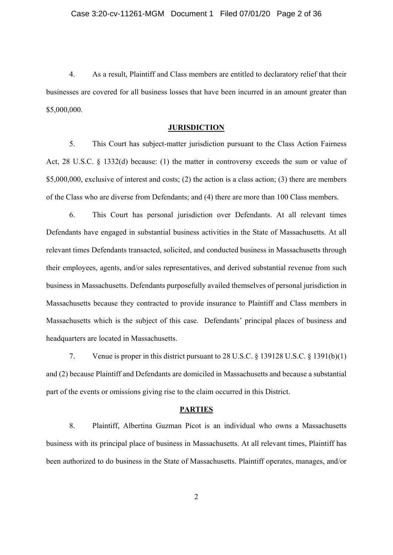4. As a result, Plaintiff and Class members are entitled to declaratory relief that their businesses are covered for all business losses that have been incurred in an amount greater than \$5,000,000.

#### **JURISDICTION**

5. This Court has subject-matter jurisdiction pursuant to the Class Action Fairness Act, 28 U.S.C. § 1332(d) because: (1) the matter in controversy exceeds the sum or value of \$5,000,000, exclusive of interest and costs; (2) the action is a class action; (3) there are members of the Class who are diverse from Defendants; and (4) there are more than 100 Class members.

6. This Court has personal jurisdiction over Defendants. At all relevant times Defendants have engaged in substantial business activities in the State of Massachusetts. At all relevant times Defendants transacted, solicited, and conducted business in Massachusetts through their employees, agents, and/or sales representatives, and derived substantial revenue from such business in Massachusetts. Defendants purposefully availed themselves of personal jurisdiction in Massachusetts because they contracted to provide insurance to Plaintiff and Class members in Massachusetts which is the subject of this case. Defendants' principal places of business and headquarters are located in Massachusetts.

7. Venue is proper in this district pursuant to 28 U.S.C. § 139128 U.S.C. § 1391(b)(1) and (2) because Plaintiff and Defendants are domiciled in Massachusetts and because a substantial part of the events or omissions giving rise to the claim occurred in this District.

#### **PARTIES**

8. Plaintiff, Albertina Guzman Picot is an individual who owns a Massachusetts business with its principal place of business in Massachusetts. At all relevant times, Plaintiff has been authorized to do business in the State of Massachusetts. Plaintiff operates, manages, and/or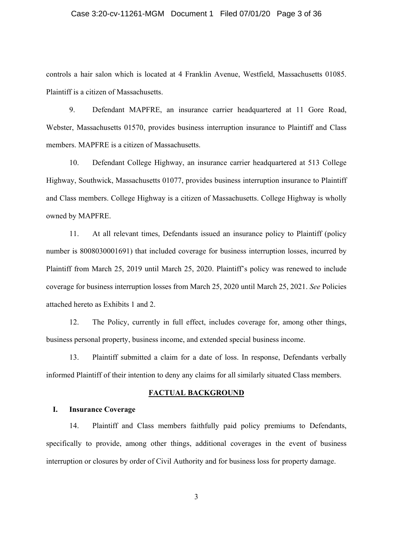#### Case 3:20-cv-11261-MGM Document 1 Filed 07/01/20 Page 3 of 36

controls a hair salon which is located at 4 Franklin Avenue, Westfield, Massachusetts 01085. Plaintiff is a citizen of Massachusetts.

9. Defendant MAPFRE, an insurance carrier headquartered at 11 Gore Road, Webster, Massachusetts 01570, provides business interruption insurance to Plaintiff and Class members. MAPFRE is a citizen of Massachusetts.

10. Defendant College Highway, an insurance carrier headquartered at 513 College Highway, Southwick, Massachusetts 01077, provides business interruption insurance to Plaintiff and Class members. College Highway is a citizen of Massachusetts. College Highway is wholly owned by MAPFRE.

11. At all relevant times, Defendants issued an insurance policy to Plaintiff (policy number is 8008030001691) that included coverage for business interruption losses, incurred by Plaintiff from March 25, 2019 until March 25, 2020. Plaintiff's policy was renewed to include coverage for business interruption losses from March 25, 2020 until March 25, 2021. *See* Policies attached hereto as Exhibits 1 and 2.

12. The Policy, currently in full effect, includes coverage for, among other things, business personal property, business income, and extended special business income.

13. Plaintiff submitted a claim for a date of loss. In response, Defendants verbally informed Plaintiff of their intention to deny any claims for all similarly situated Class members.

#### **FACTUAL BACKGROUND**

#### **I. Insurance Coverage**

14. Plaintiff and Class members faithfully paid policy premiums to Defendants, specifically to provide, among other things, additional coverages in the event of business interruption or closures by order of Civil Authority and for business loss for property damage.

3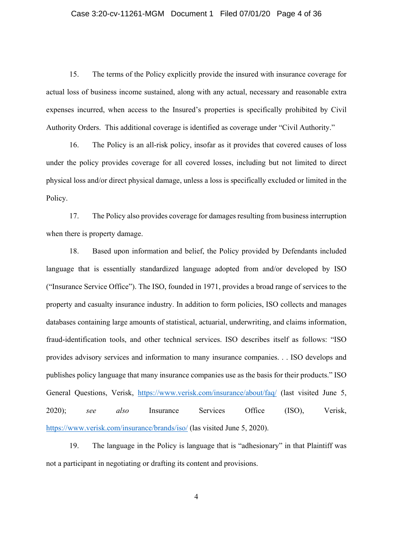#### Case 3:20-cv-11261-MGM Document 1 Filed 07/01/20 Page 4 of 36

15. The terms of the Policy explicitly provide the insured with insurance coverage for actual loss of business income sustained, along with any actual, necessary and reasonable extra expenses incurred, when access to the Insured's properties is specifically prohibited by Civil Authority Orders. This additional coverage is identified as coverage under "Civil Authority."

16. The Policy is an all-risk policy, insofar as it provides that covered causes of loss under the policy provides coverage for all covered losses, including but not limited to direct physical loss and/or direct physical damage, unless a loss is specifically excluded or limited in the Policy.

17. The Policy also provides coverage for damages resulting from business interruption when there is property damage.

18. Based upon information and belief, the Policy provided by Defendants included language that is essentially standardized language adopted from and/or developed by ISO ("Insurance Service Office"). The ISO, founded in 1971, provides a broad range of services to the property and casualty insurance industry. In addition to form policies, ISO collects and manages databases containing large amounts of statistical, actuarial, underwriting, and claims information, fraud-identification tools, and other technical services. ISO describes itself as follows: "ISO provides advisory services and information to many insurance companies. . . ISO develops and publishes policy language that many insurance companies use as the basis for their products." ISO General Questions, Verisk, https://www.verisk.com/insurance/about/faq/ (last visited June 5, 2020); *see also* Insurance Services Office (ISO), Verisk, https://www.verisk.com/insurance/brands/iso/ (las visited June 5, 2020).

19. The language in the Policy is language that is "adhesionary" in that Plaintiff was not a participant in negotiating or drafting its content and provisions.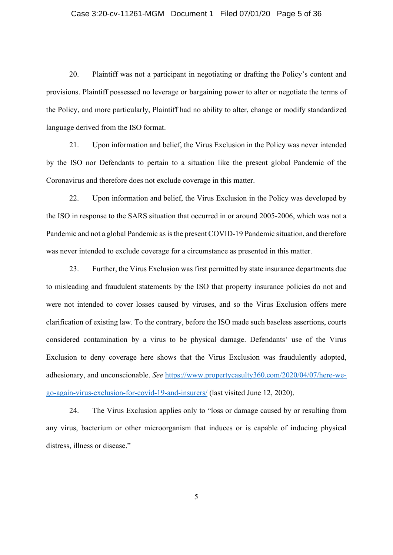#### Case 3:20-cv-11261-MGM Document 1 Filed 07/01/20 Page 5 of 36

20. Plaintiff was not a participant in negotiating or drafting the Policy's content and provisions. Plaintiff possessed no leverage or bargaining power to alter or negotiate the terms of the Policy, and more particularly, Plaintiff had no ability to alter, change or modify standardized language derived from the ISO format.

21. Upon information and belief, the Virus Exclusion in the Policy was never intended by the ISO nor Defendants to pertain to a situation like the present global Pandemic of the Coronavirus and therefore does not exclude coverage in this matter.

22. Upon information and belief, the Virus Exclusion in the Policy was developed by the ISO in response to the SARS situation that occurred in or around 2005-2006, which was not a Pandemic and not a global Pandemic as is the present COVID-19 Pandemic situation, and therefore was never intended to exclude coverage for a circumstance as presented in this matter.

23. Further, the Virus Exclusion was first permitted by state insurance departments due to misleading and fraudulent statements by the ISO that property insurance policies do not and were not intended to cover losses caused by viruses, and so the Virus Exclusion offers mere clarification of existing law. To the contrary, before the ISO made such baseless assertions, courts considered contamination by a virus to be physical damage. Defendants' use of the Virus Exclusion to deny coverage here shows that the Virus Exclusion was fraudulently adopted, adhesionary, and unconscionable. *See* https://www.propertycasulty360.com/2020/04/07/here-wego-again-virus-exclusion-for-covid-19-and-insurers/ (last visited June 12, 2020).

24. The Virus Exclusion applies only to "loss or damage caused by or resulting from any virus, bacterium or other microorganism that induces or is capable of inducing physical distress, illness or disease."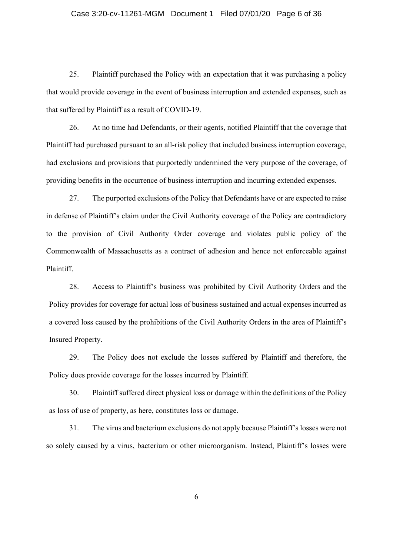#### Case 3:20-cv-11261-MGM Document 1 Filed 07/01/20 Page 6 of 36

25. Plaintiff purchased the Policy with an expectation that it was purchasing a policy that would provide coverage in the event of business interruption and extended expenses, such as that suffered by Plaintiff as a result of COVID-19.

26. At no time had Defendants, or their agents, notified Plaintiff that the coverage that Plaintiff had purchased pursuant to an all-risk policy that included business interruption coverage, had exclusions and provisions that purportedly undermined the very purpose of the coverage, of providing benefits in the occurrence of business interruption and incurring extended expenses.

27. The purported exclusions of the Policy that Defendants have or are expected to raise in defense of Plaintiff's claim under the Civil Authority coverage of the Policy are contradictory to the provision of Civil Authority Order coverage and violates public policy of the Commonwealth of Massachusetts as a contract of adhesion and hence not enforceable against Plaintiff.

28. Access to Plaintiff's business was prohibited by Civil Authority Orders and the Policy provides for coverage for actual loss of business sustained and actual expenses incurred as a covered loss caused by the prohibitions of the Civil Authority Orders in the area of Plaintiff's Insured Property.

29. The Policy does not exclude the losses suffered by Plaintiff and therefore, the Policy does provide coverage for the losses incurred by Plaintiff.

30. Plaintiff suffered direct physical loss or damage within the definitions of the Policy as loss of use of property, as here, constitutes loss or damage.

31. The virus and bacterium exclusions do not apply because Plaintiff's losses were not so solely caused by a virus, bacterium or other microorganism. Instead, Plaintiff's losses were

6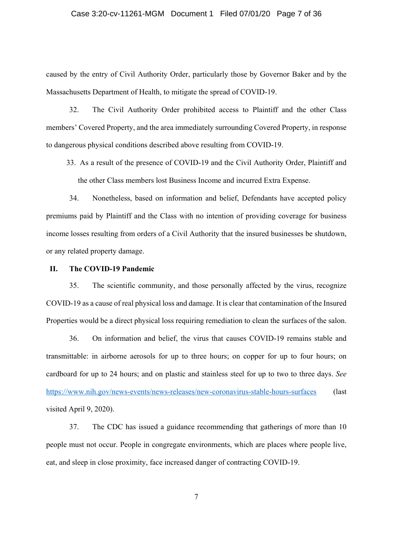#### Case 3:20-cv-11261-MGM Document 1 Filed 07/01/20 Page 7 of 36

caused by the entry of Civil Authority Order, particularly those by Governor Baker and by the Massachusetts Department of Health, to mitigate the spread of COVID-19.

32. The Civil Authority Order prohibited access to Plaintiff and the other Class members' Covered Property, and the area immediately surrounding Covered Property, in response to dangerous physical conditions described above resulting from COVID-19.

33. As a result of the presence of COVID-19 and the Civil Authority Order, Plaintiff and the other Class members lost Business Income and incurred Extra Expense.

34. Nonetheless, based on information and belief, Defendants have accepted policy premiums paid by Plaintiff and the Class with no intention of providing coverage for business income losses resulting from orders of a Civil Authority that the insured businesses be shutdown, or any related property damage.

#### **II. The COVID-19 Pandemic**

35. The scientific community, and those personally affected by the virus, recognize COVID-19 as a cause of real physical loss and damage. It is clear that contamination of the Insured Properties would be a direct physical loss requiring remediation to clean the surfaces of the salon.

36. On information and belief, the virus that causes COVID-19 remains stable and transmittable: in airborne aerosols for up to three hours; on copper for up to four hours; on cardboard for up to 24 hours; and on plastic and stainless steel for up to two to three days. *See* https://www.nih.gov/news-events/news-releases/new-coronavirus-stable-hours-surfaces (last visited April 9, 2020).

37. The CDC has issued a guidance recommending that gatherings of more than 10 people must not occur. People in congregate environments, which are places where people live, eat, and sleep in close proximity, face increased danger of contracting COVID-19.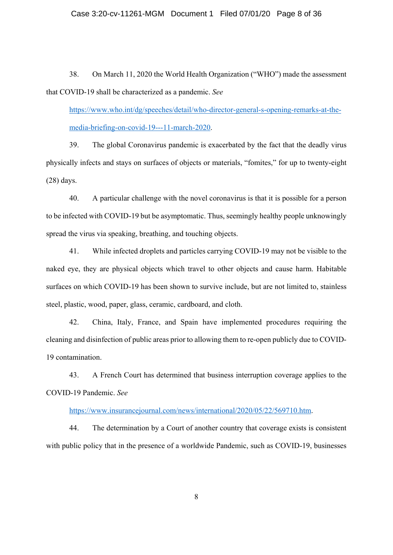38. On March 11, 2020 the World Health Organization ("WHO") made the assessment that COVID-19 shall be characterized as a pandemic. *See* 

https://www.who.int/dg/speeches/detail/who-director-general-s-opening-remarks-at-themedia-briefing-on-covid-19---11-march-2020.

39. The global Coronavirus pandemic is exacerbated by the fact that the deadly virus physically infects and stays on surfaces of objects or materials, "fomites," for up to twenty-eight (28) days.

40. A particular challenge with the novel coronavirus is that it is possible for a person to be infected with COVID-19 but be asymptomatic. Thus, seemingly healthy people unknowingly spread the virus via speaking, breathing, and touching objects.

41. While infected droplets and particles carrying COVID-19 may not be visible to the naked eye, they are physical objects which travel to other objects and cause harm. Habitable surfaces on which COVID-19 has been shown to survive include, but are not limited to, stainless steel, plastic, wood, paper, glass, ceramic, cardboard, and cloth.

42. China, Italy, France, and Spain have implemented procedures requiring the cleaning and disinfection of public areas prior to allowing them to re-open publicly due to COVID-19 contamination.

43. A French Court has determined that business interruption coverage applies to the COVID-19 Pandemic. *See*

https://www.insurancejournal.com/news/international/2020/05/22/569710.htm.

44. The determination by a Court of another country that coverage exists is consistent with public policy that in the presence of a worldwide Pandemic, such as COVID-19, businesses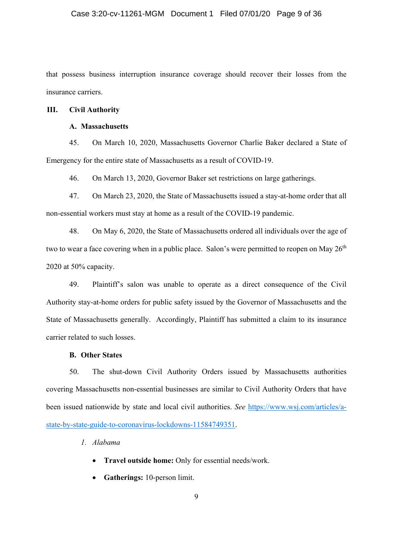that possess business interruption insurance coverage should recover their losses from the insurance carriers.

#### **III. Civil Authority**

## **A. Massachusetts**

45. On March 10, 2020, Massachusetts Governor Charlie Baker declared a State of Emergency for the entire state of Massachusetts as a result of COVID-19.

46. On March 13, 2020, Governor Baker set restrictions on large gatherings.

47. On March 23, 2020, the State of Massachusetts issued a stay-at-home order that all non-essential workers must stay at home as a result of the COVID-19 pandemic.

48. On May 6, 2020, the State of Massachusetts ordered all individuals over the age of two to wear a face covering when in a public place. Salon's were permitted to reopen on May  $26<sup>th</sup>$ 2020 at 50% capacity.

49. Plaintiff's salon was unable to operate as a direct consequence of the Civil Authority stay-at-home orders for public safety issued by the Governor of Massachusetts and the State of Massachusetts generally. Accordingly, Plaintiff has submitted a claim to its insurance carrier related to such losses.

#### **B. Other States**

50. The shut-down Civil Authority Orders issued by Massachusetts authorities covering Massachusetts non-essential businesses are similar to Civil Authority Orders that have been issued nationwide by state and local civil authorities. *See* https://www.wsj.com/articles/astate-by-state-guide-to-coronavirus-lockdowns-11584749351.

*1. Alabama* 

- **Travel outside home:** Only for essential needs/work.
- x **Gatherings:** 10-person limit.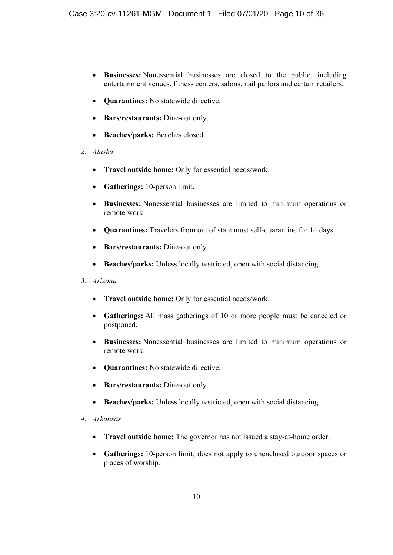- x **Businesses:** Nonessential businesses are closed to the public, including entertainment venues, fitness centers, salons, nail parlors and certain retailers.
- **Ouarantines:** No statewide directive.
- x **Bars/restaurants:** Dine-out only.
- x **Beaches/parks:** Beaches closed.
- *2. Alaska* 
	- **Travel outside home:** Only for essential needs/work.
	- Gatherings: 10-person limit.
	- x **Businesses:** Nonessential businesses are limited to minimum operations or remote work.
	- x **Quarantines:** Travelers from out of state must self-quarantine for 14 days.
	- x **Bars/restaurants:** Dine-out only.
	- **Beaches/parks:** Unless locally restricted, open with social distancing.
- *3. Arizona* 
	- **•** Travel outside home: Only for essential needs/work.
	- Gatherings: All mass gatherings of 10 or more people must be canceled or postponed.
	- x **Businesses:** Nonessential businesses are limited to minimum operations or remote work.
	- **Quarantines:** No statewide directive.
	- x **Bars/restaurants:** Dine-out only.
	- Beaches/parks: Unless locally restricted, open with social distancing.
- *4. Arkansas* 
	- **Travel outside home:** The governor has not issued a stay-at-home order.
	- **Gatherings:** 10-person limit; does not apply to unenclosed outdoor spaces or places of worship.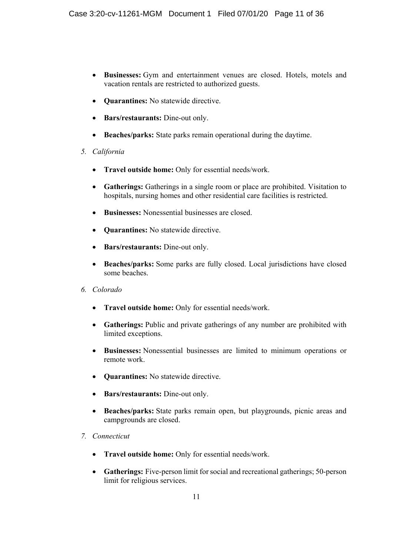- x **Businesses:** Gym and entertainment venues are closed. Hotels, motels and vacation rentals are restricted to authorized guests.
- **Ouarantines:** No statewide directive.
- x **Bars/restaurants:** Dine-out only.
- **Beaches/parks:** State parks remain operational during the daytime.
- *5. California* 
	- **Travel outside home:** Only for essential needs/work.
	- Gatherings: Gatherings in a single room or place are prohibited. Visitation to hospitals, nursing homes and other residential care facilities is restricted.
	- x **Businesses:** Nonessential businesses are closed.
	- **Ouarantines:** No statewide directive.
	- x **Bars/restaurants:** Dine-out only.
	- **Beaches/parks:** Some parks are fully closed. Local jurisdictions have closed some beaches.
- *6. Colorado* 
	- **Travel outside home:** Only for essential needs/work.
	- Gatherings: Public and private gatherings of any number are prohibited with limited exceptions.
	- x **Businesses:** Nonessential businesses are limited to minimum operations or remote work.
	- **Ouarantines:** No statewide directive.
	- x **Bars/restaurants:** Dine-out only.
	- **Beaches/parks:** State parks remain open, but playgrounds, picnic areas and campgrounds are closed.
- *7. Connecticut* 
	- **•** Travel outside home: Only for essential needs/work.
	- Gatherings: Five-person limit for social and recreational gatherings; 50-person limit for religious services.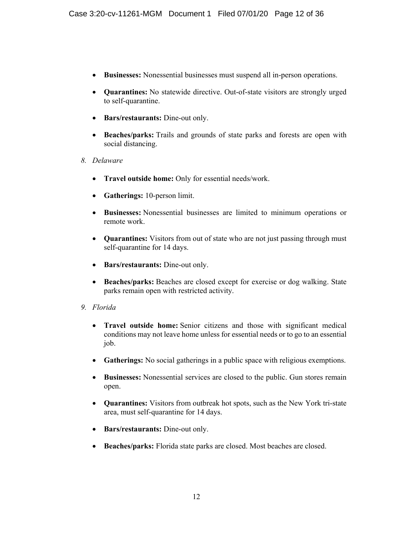- x **Businesses:** Nonessential businesses must suspend all in-person operations.
- **Quarantines:** No statewide directive. Out-of-state visitors are strongly urged to self-quarantine.
- x **Bars/restaurants:** Dine-out only.
- x **Beaches/parks:** Trails and grounds of state parks and forests are open with social distancing.
- *8. Delaware* 
	- **Travel outside home:** Only for essential needs/work.
	- Gatherings: 10-person limit.
	- x **Businesses:** Nonessential businesses are limited to minimum operations or remote work.
	- Quarantines: Visitors from out of state who are not just passing through must self-quarantine for 14 days.
	- **•** Bars/restaurants: Dine-out only.
	- Beaches/parks: Beaches are closed except for exercise or dog walking. State parks remain open with restricted activity.
- *9. Florida* 
	- x **Travel outside home:** Senior citizens and those with significant medical conditions may not leave home unless for essential needs or to go to an essential job.
	- Gatherings: No social gatherings in a public space with religious exemptions.
	- **Businesses:** Nonessential services are closed to the public. Gun stores remain open.
	- x **Quarantines:** Visitors from outbreak hot spots, such as the New York tri-state area, must self-quarantine for 14 days.
	- Bars/restaurants: Dine-out only.
	- x **Beaches/parks:** Florida state parks are closed. Most beaches are closed.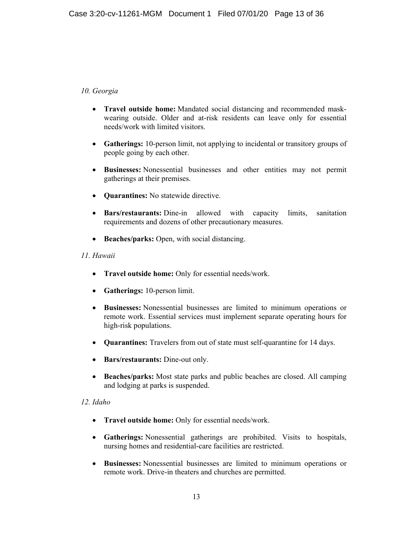# *10. Georgia*

- Travel outside home: Mandated social distancing and recommended maskwearing outside. Older and at-risk residents can leave only for essential needs/work with limited visitors.
- Gatherings: 10-person limit, not applying to incidental or transitory groups of people going by each other.
- x **Businesses:** Nonessential businesses and other entities may not permit gatherings at their premises.
- **Quarantines:** No statewide directive.
- x **Bars/restaurants:** Dine-in allowed with capacity limits, sanitation requirements and dozens of other precautionary measures.
- **Beaches/parks:** Open, with social distancing.

# *11. Hawaii*

- **Travel outside home:** Only for essential needs/work.
- **Gatherings:** 10-person limit.
- x **Businesses:** Nonessential businesses are limited to minimum operations or remote work. Essential services must implement separate operating hours for high-risk populations.
- x **Quarantines:** Travelers from out of state must self-quarantine for 14 days.
- **•** Bars/restaurants: Dine-out only.
- x **Beaches/parks:** Most state parks and public beaches are closed. All camping and lodging at parks is suspended.

## *12. Idaho*

- **Travel outside home:** Only for essential needs/work.
- x **Gatherings:** Nonessential gatherings are prohibited. Visits to hospitals, nursing homes and residential-care facilities are restricted.
- x **Businesses:** Nonessential businesses are limited to minimum operations or remote work. Drive-in theaters and churches are permitted.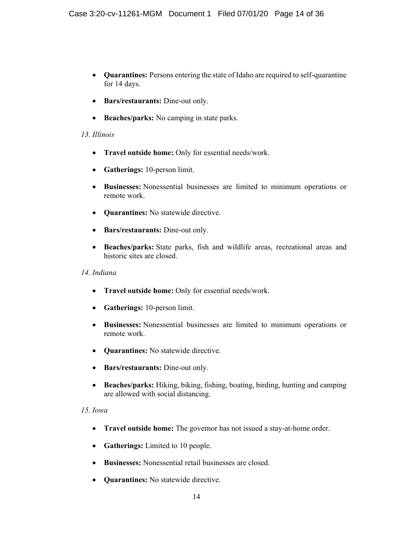- x **Quarantines:** Persons entering the state of Idaho are required to self-quarantine for 14 days.
- x **Bars/restaurants:** Dine-out only.
- Beaches/parks: No camping in state parks.

#### *13. Illinois*

- **Travel outside home:** Only for essential needs/work.
- **Gatherings:** 10-person limit.
- x **Businesses:** Nonessential businesses are limited to minimum operations or remote work.
- **• Quarantines:** No statewide directive.
- x **Bars/restaurants:** Dine-out only.
- x **Beaches/parks:** State parks, fish and wildlife areas, recreational areas and historic sites are closed.

#### *14. Indiana*

- **Travel outside home:** Only for essential needs/work.
- x **Gatherings:** 10-person limit.
- x **Businesses:** Nonessential businesses are limited to minimum operations or remote work.
- **• Quarantines:** No statewide directive.
- x **Bars/restaurants:** Dine-out only.
- x **Beaches/parks:** Hiking, biking, fishing, boating, birding, hunting and camping are allowed with social distancing.

# *15. Iowa*

- **Travel outside home:** The governor has not issued a stay-at-home order.
- **Gatherings:** Limited to 10 people.
- x **Businesses:** Nonessential retail businesses are closed.
- **Ouarantines:** No statewide directive.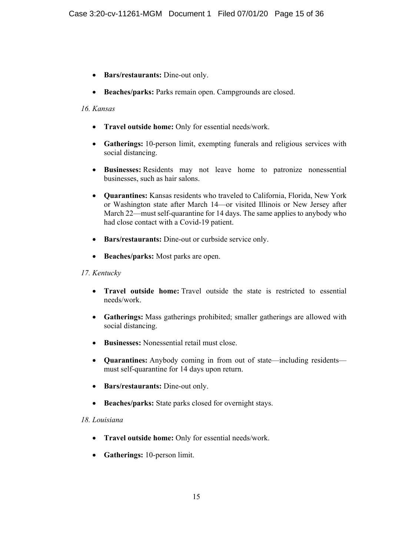- Bars/restaurants: Dine-out only.
- **Beaches/parks:** Parks remain open. Campgrounds are closed.

## *16. Kansas*

- **Travel outside home:** Only for essential needs/work.
- x **Gatherings:** 10-person limit, exempting funerals and religious services with social distancing.
- x **Businesses:** Residents may not leave home to patronize nonessential businesses, such as hair salons.
- x **Quarantines:** Kansas residents who traveled to California, Florida, New York or Washington state after March 14—or visited Illinois or New Jersey after March 22—must self-quarantine for 14 days. The same applies to anybody who had close contact with a Covid-19 patient.
- **•** Bars/restaurants: Dine-out or curbside service only.
- **•** Beaches/parks: Most parks are open.

# *17. Kentucky*

- **Travel outside home:** Travel outside the state is restricted to essential needs/work.
- x **Gatherings:** Mass gatherings prohibited; smaller gatherings are allowed with social distancing.
- **Businesses:** Nonessential retail must close.
- **Quarantines:** Anybody coming in from out of state—including residents must self-quarantine for 14 days upon return.
- x **Bars/restaurants:** Dine-out only.
- **Beaches/parks:** State parks closed for overnight stays.

## *18. Louisiana*

- **Travel outside home:** Only for essential needs/work.
- **Gatherings:** 10-person limit.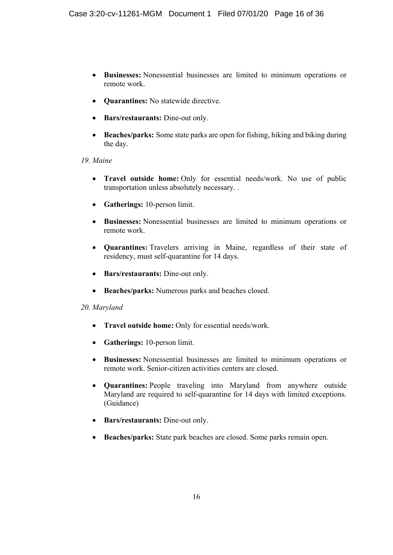- x **Businesses:** Nonessential businesses are limited to minimum operations or remote work.
- **• Quarantines:** No statewide directive.
- **Bars/restaurants:** Dine-out only.
- Beaches/parks: Some state parks are open for fishing, hiking and biking during the day.

# *19. Maine*

- **Travel outside home:** Only for essential needs/work. No use of public transportation unless absolutely necessary. .
- **Gatherings:** 10-person limit.
- x **Businesses:** Nonessential businesses are limited to minimum operations or remote work.
- x **Quarantines:** Travelers arriving in Maine, regardless of their state of residency, must self-quarantine for 14 days.
- **Bars/restaurants:** Dine-out only.
- Beaches/parks: Numerous parks and beaches closed.

# *20. Maryland*

- **Travel outside home:** Only for essential needs/work.
- x **Gatherings:** 10-person limit.
- x **Businesses:** Nonessential businesses are limited to minimum operations or remote work. Senior-citizen activities centers are closed.
- x **Quarantines:** People traveling into Maryland from anywhere outside Maryland are required to self-quarantine for 14 days with limited exceptions. (Guidance)
- x **Bars/restaurants:** Dine-out only.
- x **Beaches/parks:** State park beaches are closed. Some parks remain open.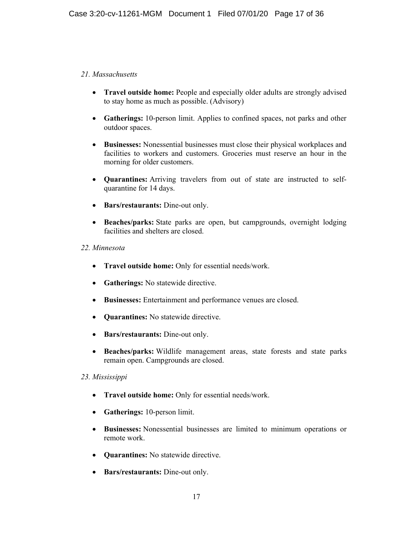# *21. Massachusetts*

- **Travel outside home:** People and especially older adults are strongly advised to stay home as much as possible. (Advisory)
- Gatherings: 10-person limit. Applies to confined spaces, not parks and other outdoor spaces.
- x **Businesses:** Nonessential businesses must close their physical workplaces and facilities to workers and customers. Groceries must reserve an hour in the morning for older customers.
- x **Quarantines:** Arriving travelers from out of state are instructed to selfquarantine for 14 days.
- x **Bars/restaurants:** Dine-out only.
- Beaches/parks: State parks are open, but campgrounds, overnight lodging facilities and shelters are closed.

## *22. Minnesota*

- **•** Travel outside home: Only for essential needs/work.
- **•** Gatherings: No statewide directive.
- x **Businesses:** Entertainment and performance venues are closed.
- **Ouarantines:** No statewide directive.
- x **Bars/restaurants:** Dine-out only.
- x **Beaches/parks:** Wildlife management areas, state forests and state parks remain open. Campgrounds are closed.

## *23. Mississippi*

- **•** Travel outside home: Only for essential needs/work.
- Gatherings: 10-person limit.
- x **Businesses:** Nonessential businesses are limited to minimum operations or remote work.
- **Ouarantines:** No statewide directive.
- x **Bars/restaurants:** Dine-out only.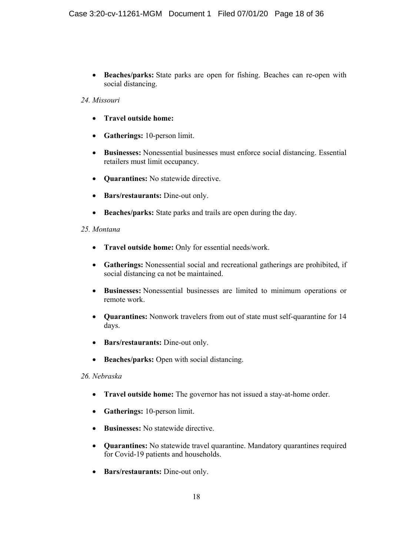x **Beaches/parks:** State parks are open for fishing. Beaches can re-open with social distancing.

## *24. Missouri*

- **•** Travel outside home:
- **Gatherings:** 10-person limit.
- x **Businesses:** Nonessential businesses must enforce social distancing. Essential retailers must limit occupancy.
- **• Quarantines:** No statewide directive.
- Bars/restaurants: Dine-out only.
- **•** Beaches/parks: State parks and trails are open during the day.

# *25. Montana*

- **•** Travel outside home: Only for essential needs/work.
- x **Gatherings:** Nonessential social and recreational gatherings are prohibited, if social distancing ca not be maintained.
- x **Businesses:** Nonessential businesses are limited to minimum operations or remote work.
- x **Quarantines:** Nonwork travelers from out of state must self-quarantine for 14 days.
- x **Bars/restaurants:** Dine-out only.
- **Beaches/parks:** Open with social distancing.

## *26. Nebraska*

- **Travel outside home:** The governor has not issued a stay-at-home order.
- x **Gatherings:** 10-person limit.
- **Businesses:** No statewide directive.
- x **Quarantines:** No statewide travel quarantine. Mandatory quarantines required for Covid-19 patients and households.
- x **Bars/restaurants:** Dine-out only.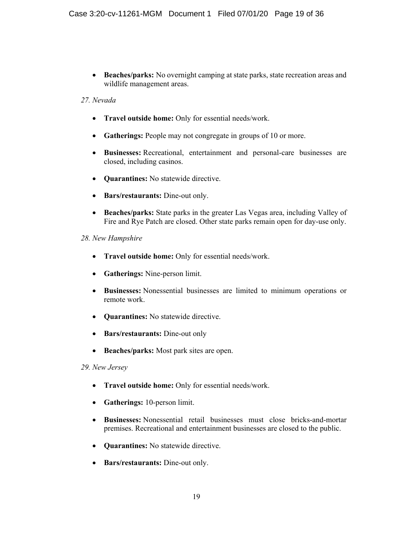**• Beaches/parks:** No overnight camping at state parks, state recreation areas and wildlife management areas.

# *27. Nevada*

- **Travel outside home:** Only for essential needs/work.
- **Gatherings:** People may not congregate in groups of 10 or more.
- x **Businesses:** Recreational, entertainment and personal-care businesses are closed, including casinos.
- **• Quarantines:** No statewide directive.
- Bars/restaurants: Dine-out only.
- x **Beaches/parks:** State parks in the greater Las Vegas area, including Valley of Fire and Rye Patch are closed. Other state parks remain open for day-use only.

# *28. New Hampshire*

- **Travel outside home:** Only for essential needs/work.
- x **Gatherings:** Nine-person limit.
- x **Businesses:** Nonessential businesses are limited to minimum operations or remote work.
- **•** Quarantines: No statewide directive.
- **•** Bars/restaurants: Dine-out only
- **Beaches/parks:** Most park sites are open.

## *29. New Jersey*

- **Travel outside home:** Only for essential needs/work.
- **Gatherings:** 10-person limit.
- x **Businesses:** Nonessential retail businesses must close bricks-and-mortar premises. Recreational and entertainment businesses are closed to the public.
- **Quarantines:** No statewide directive.
- **Bars/restaurants:** Dine-out only.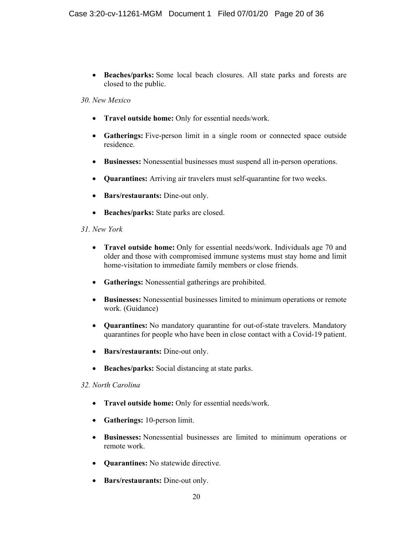**• Beaches/parks:** Some local beach closures. All state parks and forests are closed to the public.

#### *30. New Mexico*

- **Travel outside home:** Only for essential needs/work.
- Gatherings: Five-person limit in a single room or connected space outside residence.
- x **Businesses:** Nonessential businesses must suspend all in-person operations.
- x **Quarantines:** Arriving air travelers must self-quarantine for two weeks.
- **Bars/restaurants:** Dine-out only.
- **Beaches/parks:** State parks are closed.

## *31. New York*

- **• Travel outside home:** Only for essential needs/work. Individuals age 70 and older and those with compromised immune systems must stay home and limit home-visitation to immediate family members or close friends.
- x **Gatherings:** Nonessential gatherings are prohibited.
- x **Businesses:** Nonessential businesses limited to minimum operations or remote work. (Guidance)
- x **Quarantines:** No mandatory quarantine for out-of-state travelers. Mandatory quarantines for people who have been in close contact with a Covid-19 patient.
- x **Bars/restaurants:** Dine-out only.
- **•** Beaches/parks: Social distancing at state parks.

## *32. North Carolina*

- **•** Travel outside home: Only for essential needs/work.
- **Gatherings:** 10-person limit.
- x **Businesses:** Nonessential businesses are limited to minimum operations or remote work.
- **• Quarantines:** No statewide directive.
- **Bars/restaurants:** Dine-out only.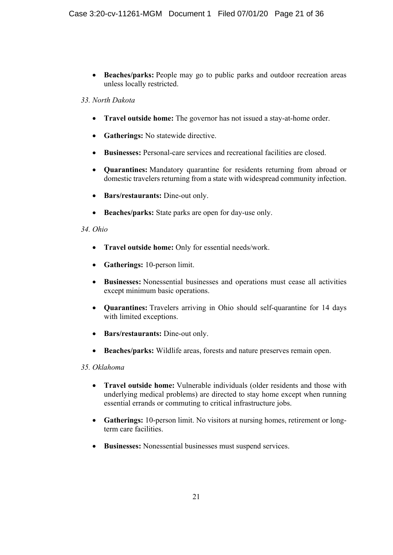**• Beaches/parks:** People may go to public parks and outdoor recreation areas unless locally restricted.

# *33. North Dakota*

- **Travel outside home:** The governor has not issued a stay-at-home order.
- **•** Gatherings: No statewide directive.
- x **Businesses:** Personal-care services and recreational facilities are closed.
- x **Quarantines:** Mandatory quarantine for residents returning from abroad or domestic travelers returning from a state with widespread community infection.
- Bars/restaurants: Dine-out only.
- **Beaches/parks:** State parks are open for day-use only.

# *34. Ohio*

- **Travel outside home:** Only for essential needs/work.
- x **Gatherings:** 10-person limit.
- x **Businesses:** Nonessential businesses and operations must cease all activities except minimum basic operations.
- x **Quarantines:** Travelers arriving in Ohio should self-quarantine for 14 days with limited exceptions.
- x **Bars/restaurants:** Dine-out only.
- x **Beaches/parks:** Wildlife areas, forests and nature preserves remain open.

# *35. Oklahoma*

- **Travel outside home:** Vulnerable individuals (older residents and those with underlying medical problems) are directed to stay home except when running essential errands or commuting to critical infrastructure jobs.
- Gatherings: 10-person limit. No visitors at nursing homes, retirement or longterm care facilities.
- **Businesses:** Nonessential businesses must suspend services.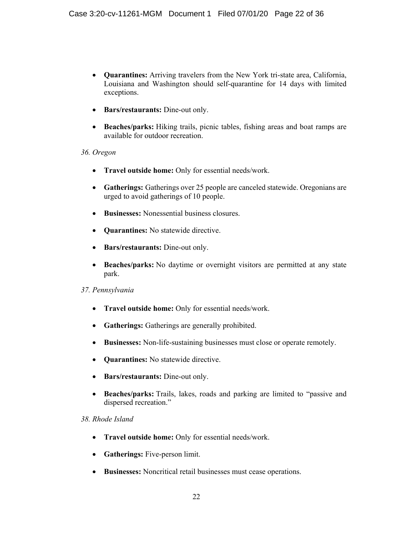- x **Quarantines:** Arriving travelers from the New York tri-state area, California, Louisiana and Washington should self-quarantine for 14 days with limited exceptions.
- x **Bars/restaurants:** Dine-out only.
- x **Beaches/parks:** Hiking trails, picnic tables, fishing areas and boat ramps are available for outdoor recreation.

# *36. Oregon*

- **Travel outside home:** Only for essential needs/work.
- Gatherings: Gatherings over 25 people are canceled statewide. Oregonians are urged to avoid gatherings of 10 people.
- x **Businesses:** Nonessential business closures.
- **Quarantines:** No statewide directive.
- x **Bars/restaurants:** Dine-out only.
- **Beaches/parks:** No daytime or overnight visitors are permitted at any state park.

## *37. Pennsylvania*

- **Travel outside home:** Only for essential needs/work.
- **Gatherings:** Gatherings are generally prohibited.
- x **Businesses:** Non-life-sustaining businesses must close or operate remotely.
- **• Quarantines:** No statewide directive.
- x **Bars/restaurants:** Dine-out only.
- **Beaches/parks:** Trails, lakes, roads and parking are limited to "passive and dispersed recreation."

## *38. Rhode Island*

- **Travel outside home:** Only for essential needs/work.
- Gatherings: Five-person limit.
- **Businesses:** Noncritical retail businesses must cease operations.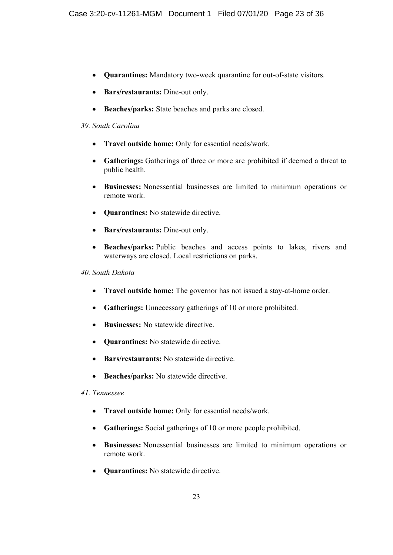- x **Quarantines:** Mandatory two-week quarantine for out-of-state visitors.
- x **Bars/restaurants:** Dine-out only.
- **Beaches/parks:** State beaches and parks are closed.

## *39. South Carolina*

- **Travel outside home:** Only for essential needs/work.
- x **Gatherings:** Gatherings of three or more are prohibited if deemed a threat to public health.
- x **Businesses:** Nonessential businesses are limited to minimum operations or remote work.
- **Quarantines:** No statewide directive.
- x **Bars/restaurants:** Dine-out only.
- **Beaches/parks:** Public beaches and access points to lakes, rivers and waterways are closed. Local restrictions on parks.

#### *40. South Dakota*

- **Travel outside home:** The governor has not issued a stay-at-home order.
- Gatherings: Unnecessary gatherings of 10 or more prohibited.
- **•** Businesses: No statewide directive
- **• Quarantines:** No statewide directive.
- **•** Bars/restaurants: No statewide directive.
- **•** Beaches/parks: No statewide directive.

## *41. Tennessee*

- **Travel outside home:** Only for essential needs/work.
- Gatherings: Social gatherings of 10 or more people prohibited.
- x **Businesses:** Nonessential businesses are limited to minimum operations or remote work.
- **•** Quarantines: No statewide directive.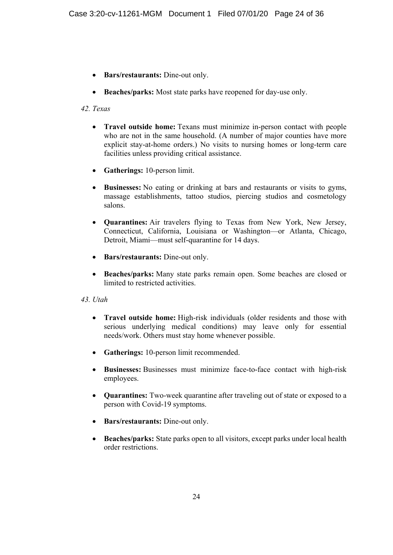- Bars/restaurants: Dine-out only.
- Beaches/parks: Most state parks have reopened for day-use only.

## *42. Texas*

- **Travel outside home:** Texans must minimize in-person contact with people who are not in the same household. (A number of major counties have more explicit stay-at-home orders.) No visits to nursing homes or long-term care facilities unless providing critical assistance.
- **Gatherings:** 10-person limit.
- **Businesses:** No eating or drinking at bars and restaurants or visits to gyms, massage establishments, tattoo studios, piercing studios and cosmetology salons.
- x **Quarantines:** Air travelers flying to Texas from New York, New Jersey, Connecticut, California, Louisiana or Washington—or Atlanta, Chicago, Detroit, Miami—must self-quarantine for 14 days.
- x **Bars/restaurants:** Dine-out only.
- x **Beaches/parks:** Many state parks remain open. Some beaches are closed or limited to restricted activities.

## *43. Utah*

- **Travel outside home:** High-risk individuals (older residents and those with serious underlying medical conditions) may leave only for essential needs/work. Others must stay home whenever possible.
- Gatherings: 10-person limit recommended.
- x **Businesses:** Businesses must minimize face-to-face contact with high-risk employees.
- **Quarantines:** Two-week quarantine after traveling out of state or exposed to a person with Covid-19 symptoms.
- x **Bars/restaurants:** Dine-out only.
- **Beaches/parks:** State parks open to all visitors, except parks under local health order restrictions.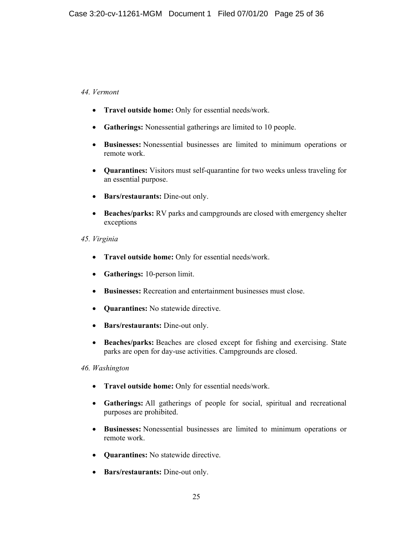# *44. Vermont*

- **Travel outside home:** Only for essential needs/work.
- **Gatherings:** Nonessential gatherings are limited to 10 people.
- x **Businesses:** Nonessential businesses are limited to minimum operations or remote work.
- **Quarantines:** Visitors must self-quarantine for two weeks unless traveling for an essential purpose.
- x **Bars/restaurants:** Dine-out only.
- **Beaches/parks:** RV parks and campgrounds are closed with emergency shelter exceptions

# *45. Virginia*

- **Travel outside home:** Only for essential needs/work.
- **Gatherings:** 10-person limit.
- **Businesses:** Recreation and entertainment businesses must close.
- **Ouarantines:** No statewide directive.
- **Bars/restaurants:** Dine-out only.
- **Beaches/parks:** Beaches are closed except for fishing and exercising. State parks are open for day-use activities. Campgrounds are closed.

## *46. Washington*

- **Travel outside home:** Only for essential needs/work.
- x **Gatherings:** All gatherings of people for social, spiritual and recreational purposes are prohibited.
- x **Businesses:** Nonessential businesses are limited to minimum operations or remote work.
- **Ouarantines:** No statewide directive.
- **Bars/restaurants:** Dine-out only.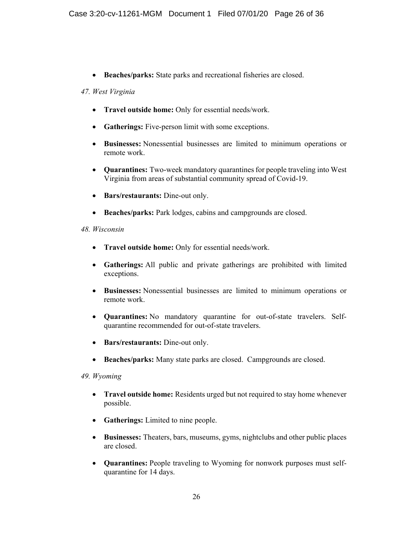**• Beaches/parks:** State parks and recreational fisheries are closed.

## *47. West Virginia*

- **Travel outside home:** Only for essential needs/work.
- Gatherings: Five-person limit with some exceptions.
- x **Businesses:** Nonessential businesses are limited to minimum operations or remote work.
- x **Quarantines:** Two-week mandatory quarantines for people traveling into West Virginia from areas of substantial community spread of Covid-19.
- Bars/restaurants: Dine-out only.
- **Beaches/parks:** Park lodges, cabins and campgrounds are closed.

# *48. Wisconsin*

- **•** Travel outside home: Only for essential needs/work.
- x **Gatherings:** All public and private gatherings are prohibited with limited exceptions.
- x **Businesses:** Nonessential businesses are limited to minimum operations or remote work.
- x **Quarantines:** No mandatory quarantine for out-of-state travelers. Selfquarantine recommended for out-of-state travelers.
- x **Bars/restaurants:** Dine-out only.
- x **Beaches/parks:** Many state parks are closed. Campgrounds are closed.

## *49. Wyoming*

- **Travel outside home:** Residents urged but not required to stay home whenever possible.
- **Gatherings:** Limited to nine people.
- x **Businesses:** Theaters, bars, museums, gyms, nightclubs and other public places are closed.
- x **Quarantines:** People traveling to Wyoming for nonwork purposes must selfquarantine for 14 days.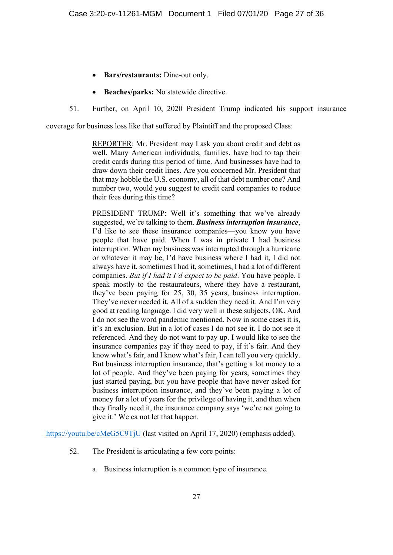- Bars/restaurants: Dine-out only.
- **Beaches/parks:** No statewide directive.
- 51. Further, on April 10, 2020 President Trump indicated his support insurance

coverage for business loss like that suffered by Plaintiff and the proposed Class:

REPORTER: Mr. President may I ask you about credit and debt as well. Many American individuals, families, have had to tap their credit cards during this period of time. And businesses have had to draw down their credit lines. Are you concerned Mr. President that that may hobble the U.S. economy, all of that debt number one? And number two, would you suggest to credit card companies to reduce their fees during this time?

PRESIDENT TRUMP: Well it's something that we've already suggested, we're talking to them. *Business interruption insurance*, I'd like to see these insurance companies—you know you have people that have paid. When I was in private I had business interruption. When my business was interrupted through a hurricane or whatever it may be, I'd have business where I had it, I did not always have it, sometimes I had it, sometimes, I had a lot of different companies. *But if I had it I'd expect to be paid*. You have people. I speak mostly to the restaurateurs, where they have a restaurant, they've been paying for 25, 30, 35 years, business interruption. They've never needed it. All of a sudden they need it. And I'm very good at reading language. I did very well in these subjects, OK. And I do not see the word pandemic mentioned. Now in some cases it is, it's an exclusion. But in a lot of cases I do not see it. I do not see it referenced. And they do not want to pay up. I would like to see the insurance companies pay if they need to pay, if it's fair. And they know what's fair, and I know what's fair, I can tell you very quickly. But business interruption insurance, that's getting a lot money to a lot of people. And they've been paying for years, sometimes they just started paying, but you have people that have never asked for business interruption insurance, and they've been paying a lot of money for a lot of years for the privilege of having it, and then when they finally need it, the insurance company says 'we're not going to give it.' We ca not let that happen.

https://youtu.be/cMeG5C9TjU (last visited on April 17, 2020) (emphasis added).

- 52. The President is articulating a few core points:
	- a. Business interruption is a common type of insurance.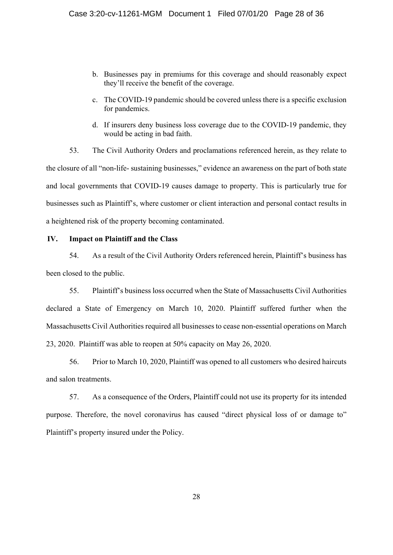- b. Businesses pay in premiums for this coverage and should reasonably expect they'll receive the benefit of the coverage.
- c. The COVID-19 pandemic should be covered unless there is a specific exclusion for pandemics.
- d. If insurers deny business loss coverage due to the COVID-19 pandemic, they would be acting in bad faith.

53. The Civil Authority Orders and proclamations referenced herein, as they relate to the closure of all "non-life- sustaining businesses," evidence an awareness on the part of both state and local governments that COVID-19 causes damage to property. This is particularly true for businesses such as Plaintiff's, where customer or client interaction and personal contact results in a heightened risk of the property becoming contaminated.

#### **IV. Impact on Plaintiff and the Class**

54. As a result of the Civil Authority Orders referenced herein, Plaintiff's business has been closed to the public.

55. Plaintiff's business loss occurred when the State of Massachusetts Civil Authorities declared a State of Emergency on March 10, 2020. Plaintiff suffered further when the Massachusetts Civil Authorities required all businesses to cease non-essential operations on March 23, 2020. Plaintiff was able to reopen at 50% capacity on May 26, 2020.

56. Prior to March 10, 2020, Plaintiff was opened to all customers who desired haircuts and salon treatments.

57. As a consequence of the Orders, Plaintiff could not use its property for its intended purpose. Therefore, the novel coronavirus has caused "direct physical loss of or damage to" Plaintiff's property insured under the Policy.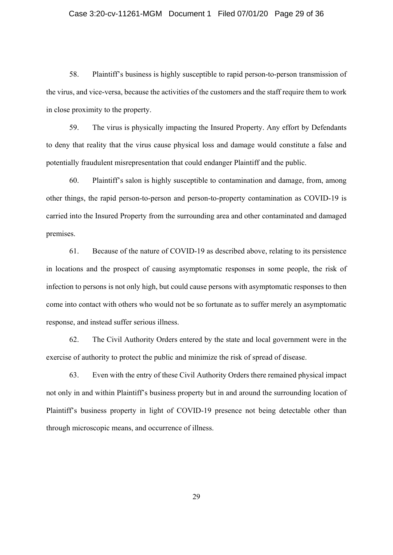#### Case 3:20-cv-11261-MGM Document 1 Filed 07/01/20 Page 29 of 36

58. Plaintiff's business is highly susceptible to rapid person-to-person transmission of the virus, and vice-versa, because the activities of the customers and the staff require them to work in close proximity to the property.

59. The virus is physically impacting the Insured Property. Any effort by Defendants to deny that reality that the virus cause physical loss and damage would constitute a false and potentially fraudulent misrepresentation that could endanger Plaintiff and the public.

60. Plaintiff's salon is highly susceptible to contamination and damage, from, among other things, the rapid person-to-person and person-to-property contamination as COVID-19 is carried into the Insured Property from the surrounding area and other contaminated and damaged premises.

61. Because of the nature of COVID-19 as described above, relating to its persistence in locations and the prospect of causing asymptomatic responses in some people, the risk of infection to persons is not only high, but could cause persons with asymptomatic responses to then come into contact with others who would not be so fortunate as to suffer merely an asymptomatic response, and instead suffer serious illness.

62. The Civil Authority Orders entered by the state and local government were in the exercise of authority to protect the public and minimize the risk of spread of disease.

63. Even with the entry of these Civil Authority Orders there remained physical impact not only in and within Plaintiff's business property but in and around the surrounding location of Plaintiff's business property in light of COVID-19 presence not being detectable other than through microscopic means, and occurrence of illness.

29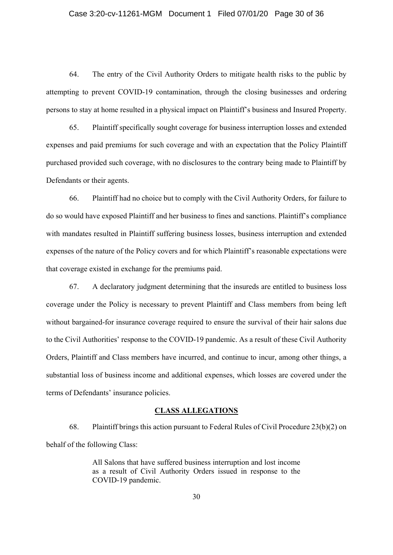#### Case 3:20-cv-11261-MGM Document 1 Filed 07/01/20 Page 30 of 36

64. The entry of the Civil Authority Orders to mitigate health risks to the public by attempting to prevent COVID-19 contamination, through the closing businesses and ordering persons to stay at home resulted in a physical impact on Plaintiff's business and Insured Property.

65. Plaintiff specifically sought coverage for business interruption losses and extended expenses and paid premiums for such coverage and with an expectation that the Policy Plaintiff purchased provided such coverage, with no disclosures to the contrary being made to Plaintiff by Defendants or their agents.

66. Plaintiff had no choice but to comply with the Civil Authority Orders, for failure to do so would have exposed Plaintiff and her business to fines and sanctions. Plaintiff's compliance with mandates resulted in Plaintiff suffering business losses, business interruption and extended expenses of the nature of the Policy covers and for which Plaintiff's reasonable expectations were that coverage existed in exchange for the premiums paid.

67. A declaratory judgment determining that the insureds are entitled to business loss coverage under the Policy is necessary to prevent Plaintiff and Class members from being left without bargained-for insurance coverage required to ensure the survival of their hair salons due to the Civil Authorities' response to the COVID-19 pandemic. As a result of these Civil Authority Orders, Plaintiff and Class members have incurred, and continue to incur, among other things, a substantial loss of business income and additional expenses, which losses are covered under the terms of Defendants' insurance policies.

#### **CLASS ALLEGATIONS**

68. Plaintiff brings this action pursuant to Federal Rules of Civil Procedure 23(b)(2) on behalf of the following Class:

> All Salons that have suffered business interruption and lost income as a result of Civil Authority Orders issued in response to the COVID-19 pandemic.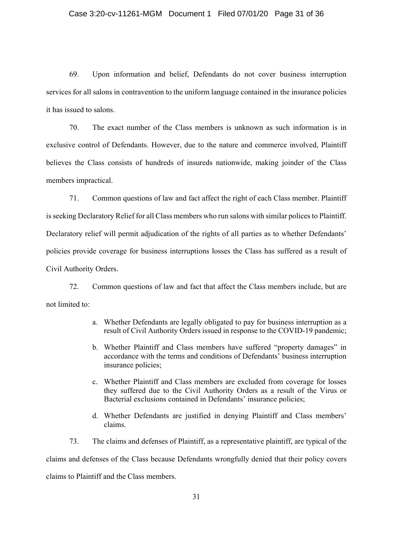#### Case 3:20-cv-11261-MGM Document 1 Filed 07/01/20 Page 31 of 36

69. Upon information and belief, Defendants do not cover business interruption services for all salons in contravention to the uniform language contained in the insurance policies it has issued to salons.

70. The exact number of the Class members is unknown as such information is in exclusive control of Defendants. However, due to the nature and commerce involved, Plaintiff believes the Class consists of hundreds of insureds nationwide, making joinder of the Class members impractical.

71. Common questions of law and fact affect the right of each Class member. Plaintiff is seeking Declaratory Relief for all Class members who run salons with similar polices to Plaintiff. Declaratory relief will permit adjudication of the rights of all parties as to whether Defendants' policies provide coverage for business interruptions losses the Class has suffered as a result of Civil Authority Orders.

72. Common questions of law and fact that affect the Class members include, but are not limited to:

- a. Whether Defendants are legally obligated to pay for business interruption as a result of Civil Authority Orders issued in response to the COVID-19 pandemic;
- b. Whether Plaintiff and Class members have suffered "property damages" in accordance with the terms and conditions of Defendants' business interruption insurance policies;
- c. Whether Plaintiff and Class members are excluded from coverage for losses they suffered due to the Civil Authority Orders as a result of the Virus or Bacterial exclusions contained in Defendants' insurance policies;
- d. Whether Defendants are justified in denying Plaintiff and Class members' claims.

73. The claims and defenses of Plaintiff, as a representative plaintiff, are typical of the claims and defenses of the Class because Defendants wrongfully denied that their policy covers claims to Plaintiff and the Class members.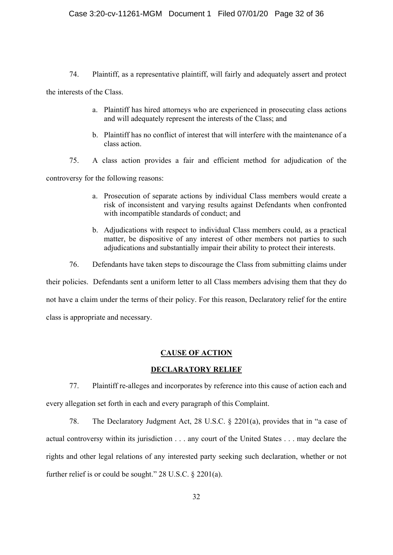74. Plaintiff, as a representative plaintiff, will fairly and adequately assert and protect

the interests of the Class.

- a. Plaintiff has hired attorneys who are experienced in prosecuting class actions and will adequately represent the interests of the Class; and
- b. Plaintiff has no conflict of interest that will interfere with the maintenance of a class action.
- 75. A class action provides a fair and efficient method for adjudication of the

controversy for the following reasons:

- a. Prosecution of separate actions by individual Class members would create a risk of inconsistent and varying results against Defendants when confronted with incompatible standards of conduct; and
- b. Adjudications with respect to individual Class members could, as a practical matter, be dispositive of any interest of other members not parties to such adjudications and substantially impair their ability to protect their interests.
- 76. Defendants have taken steps to discourage the Class from submitting claims under

their policies. Defendants sent a uniform letter to all Class members advising them that they do not have a claim under the terms of their policy. For this reason, Declaratory relief for the entire class is appropriate and necessary.

#### **CAUSE OF ACTION**

#### **DECLARATORY RELIEF**

77. Plaintiff re-alleges and incorporates by reference into this cause of action each and every allegation set forth in each and every paragraph of this Complaint.

78. The Declaratory Judgment Act, 28 U.S.C. § 2201(a), provides that in "a case of actual controversy within its jurisdiction . . . any court of the United States . . . may declare the rights and other legal relations of any interested party seeking such declaration, whether or not further relief is or could be sought." 28 U.S.C. § 2201(a).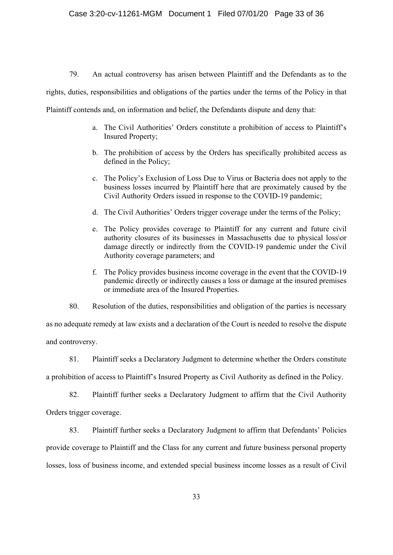79. An actual controversy has arisen between Plaintiff and the Defendants as to the

rights, duties, responsibilities and obligations of the parties under the terms of the Policy in that

Plaintiff contends and, on information and belief, the Defendants dispute and deny that:

- a. The Civil Authorities' Orders constitute a prohibition of access to Plaintiff's Insured Property;
- b. The prohibition of access by the Orders has specifically prohibited access as defined in the Policy;
- c. The Policy's Exclusion of Loss Due to Virus or Bacteria does not apply to the business losses incurred by Plaintiff here that are proximately caused by the Civil Authority Orders issued in response to the COVID-19 pandemic;
- d. The Civil Authorities' Orders trigger coverage under the terms of the Policy;
- e. The Policy provides coverage to Plaintiff for any current and future civil authority closures of its businesses in Massachusetts due to physical loss\or damage directly or indirectly from the COVID-19 pandemic under the Civil Authority coverage parameters; and
- f. The Policy provides business income coverage in the event that the COVID-19 pandemic directly or indirectly causes a loss or damage at the insured premises or immediate area of the Insured Properties.
- 80. Resolution of the duties, responsibilities and obligation of the parties is necessary

as no adequate remedy at law exists and a declaration of the Court is needed to resolve the dispute and controversy.

81. Plaintiff seeks a Declaratory Judgment to determine whether the Orders constitute

a prohibition of access to Plaintiff's Insured Property as Civil Authority as defined in the Policy.

82. Plaintiff further seeks a Declaratory Judgment to affirm that the Civil Authority Orders trigger coverage.

83. Plaintiff further seeks a Declaratory Judgment to affirm that Defendants' Policies

provide coverage to Plaintiff and the Class for any current and future business personal property

losses, loss of business income, and extended special business income losses as a result of Civil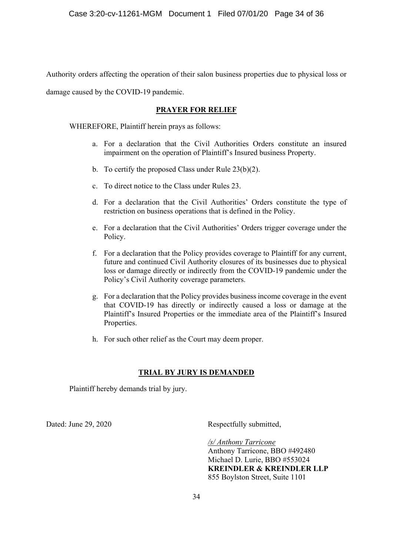Authority orders affecting the operation of their salon business properties due to physical loss or

damage caused by the COVID-19 pandemic.

#### **PRAYER FOR RELIEF**

WHEREFORE, Plaintiff herein prays as follows:

- a. For a declaration that the Civil Authorities Orders constitute an insured impairment on the operation of Plaintiff's Insured business Property.
- b. To certify the proposed Class under Rule 23(b)(2).
- c. To direct notice to the Class under Rules 23.
- d. For a declaration that the Civil Authorities' Orders constitute the type of restriction on business operations that is defined in the Policy.
- e. For a declaration that the Civil Authorities' Orders trigger coverage under the Policy.
- f. For a declaration that the Policy provides coverage to Plaintiff for any current, future and continued Civil Authority closures of its businesses due to physical loss or damage directly or indirectly from the COVID-19 pandemic under the Policy's Civil Authority coverage parameters.
- g. For a declaration that the Policy provides business income coverage in the event that COVID-19 has directly or indirectly caused a loss or damage at the Plaintiff's Insured Properties or the immediate area of the Plaintiff's Insured Properties.
- h. For such other relief as the Court may deem proper.

## **TRIAL BY JURY IS DEMANDED**

Plaintiff hereby demands trial by jury.

Dated: June 29, 2020 Respectfully submitted,

*/s/ Anthony Tarricone*  Anthony Tarricone, BBO #492480 Michael D. Lurie, BBO #553024 **KREINDLER & KREINDLER LLP**  855 Boylston Street, Suite 1101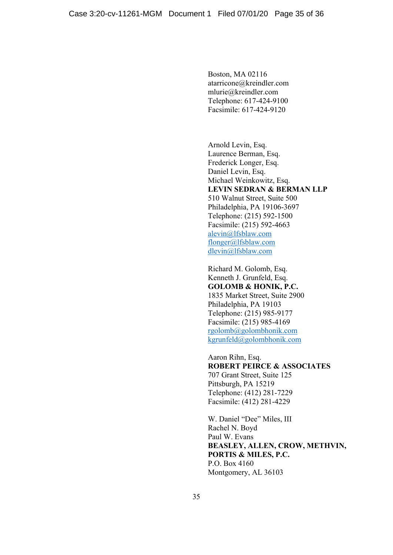Boston, MA 02116 atarricone@kreindler.com mlurie@kreindler.com Telephone: 617-424-9100 Facsimile: 617-424-9120

Arnold Levin, Esq. Laurence Berman, Esq. Frederick Longer, Esq. Daniel Levin, Esq. Michael Weinkowitz, Esq. **LEVIN SEDRAN & BERMAN LLP**  510 Walnut Street, Suite 500 Philadelphia, PA 19106-3697 Telephone: (215) 592-1500 Facsimile: (215) 592-4663 alevin@lfsblaw.com flonger@lfsblaw.com dlevin@lfsblaw.com

Richard M. Golomb, Esq. Kenneth J. Grunfeld, Esq. **GOLOMB & HONIK, P.C.**  1835 Market Street, Suite 2900 Philadelphia, PA 19103 Telephone: (215) 985-9177 Facsimile: (215) 985-4169 rgolomb@golombhonik.com kgrunfeld@golombhonik.com

Aaron Rihn, Esq. **ROBERT PEIRCE & ASSOCIATES**  707 Grant Street, Suite 125 Pittsburgh, PA 15219 Telephone: (412) 281-7229 Facsimile: (412) 281-4229

W. Daniel "Dee" Miles, III Rachel N. Boyd Paul W. Evans **BEASLEY, ALLEN, CROW, METHVIN, PORTIS & MILES, P.C.**  P.O. Box 4160 Montgomery, AL 36103